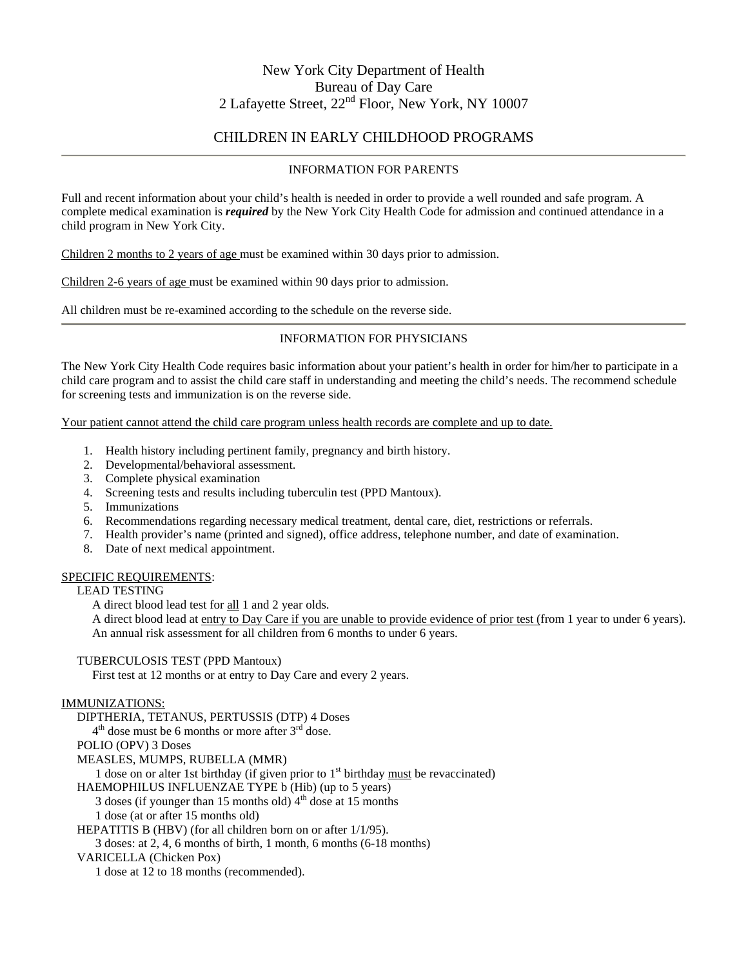## New York City Department of Health Bureau of Day Care 2 Lafayette Street, 22nd Floor, New York, NY 10007

### CHILDREN IN EARLY CHILDHOOD PROGRAMS

#### INFORMATION FOR PARENTS

Full and recent information about your child's health is needed in order to provide a well rounded and safe program. A complete medical examination is *required* by the New York City Health Code for admission and continued attendance in a child program in New York City.

Children 2 months to 2 years of age must be examined within 30 days prior to admission.

Children 2-6 years of age must be examined within 90 days prior to admission.

All children must be re-examined according to the schedule on the reverse side.

#### INFORMATION FOR PHYSICIANS

The New York City Health Code requires basic information about your patient's health in order for him/her to participate in a child care program and to assist the child care staff in understanding and meeting the child's needs. The recommend schedule for screening tests and immunization is on the reverse side.

Your patient cannot attend the child care program unless health records are complete and up to date.

- 1. Health history including pertinent family, pregnancy and birth history.
- 2. Developmental/behavioral assessment.
- 3. Complete physical examination
- 4. Screening tests and results including tuberculin test (PPD Mantoux).
- 5. Immunizations
- 6. Recommendations regarding necessary medical treatment, dental care, diet, restrictions or referrals.
- 7. Health provider's name (printed and signed), office address, telephone number, and date of examination.
- 8. Date of next medical appointment.

#### SPECIFIC REQUIREMENTS:

### LEAD TESTING

A direct blood lead test for all 1 and 2 year olds.

 A direct blood lead at entry to Day Care if you are unable to provide evidence of prior test (from 1 year to under 6 years). An annual risk assessment for all children from 6 months to under 6 years.

TUBERCULOSIS TEST (PPD Mantoux)

First test at 12 months or at entry to Day Care and every 2 years.

#### IMMUNIZATIONS:

DIPTHERIA, TETANUS, PERTUSSIS (DTP) 4 Doses

 $4<sup>th</sup>$  dose must be 6 months or more after  $3<sup>rd</sup>$  dose.

POLIO (OPV) 3 Doses

MEASLES, MUMPS, RUBELLA (MMR)

1 dose on or alter 1st birthday (if given prior to  $1<sup>st</sup>$  birthday must be revaccinated)

HAEMOPHILUS INFLUENZAE TYPE b (Hib) (up to 5 years)

3 doses (if younger than 15 months old)  $4<sup>th</sup>$  dose at 15 months

1 dose (at or after 15 months old)

HEPATITIS B (HBV) (for all children born on or after 1/1/95).

3 doses: at 2, 4, 6 months of birth, 1 month, 6 months (6-18 months)

VARICELLA (Chicken Pox)

1 dose at 12 to 18 months (recommended).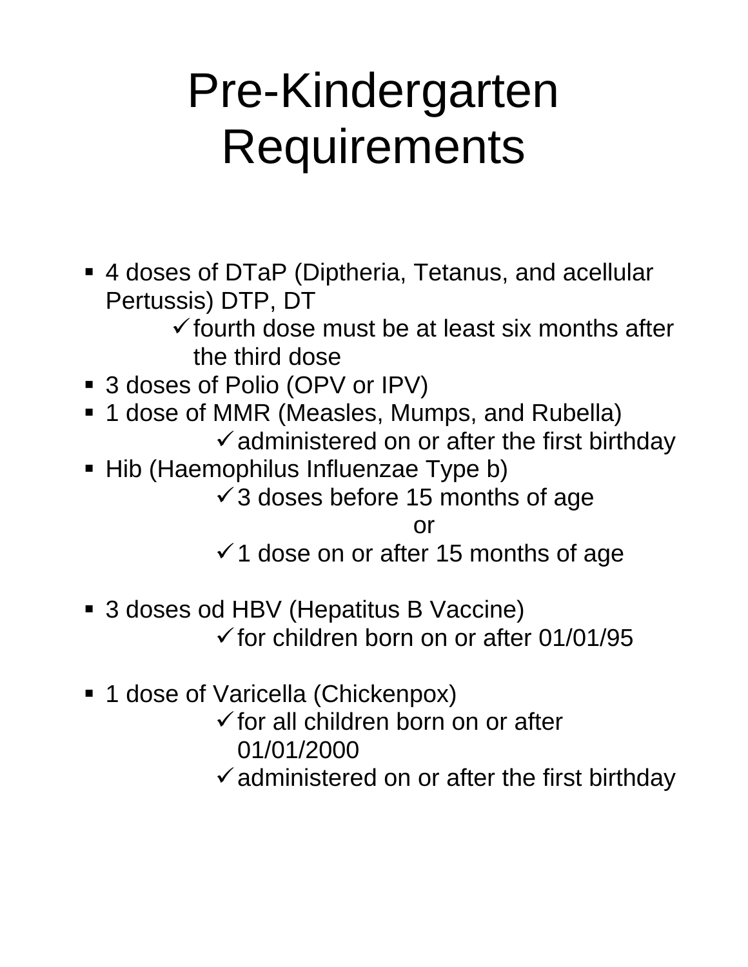# Pre-Kindergarten **Requirements**

 4 doses of DTaP (Diptheria, Tetanus, and acellular Pertussis) DTP, DT

 $\checkmark$  fourth dose must be at least six months after the third dose

- 3 doses of Polio (OPV or IPV)
- **1 dose of MMR (Measles, Mumps, and Rubella)**  $\checkmark$  administered on or after the first birthday
- Hib (Haemophilus Influenzae Type b)  $\checkmark$  3 doses before 15 months of age

or

 $\checkmark$  1 dose on or after 15 months of age

- 3 doses od HBV (Hepatitus B Vaccine)  $\checkmark$  for children born on or after 01/01/95
- 1 dose of Varicella (Chickenpox)
	- $\checkmark$  for all children born on or after 01/01/2000
	- $\checkmark$  administered on or after the first birthday